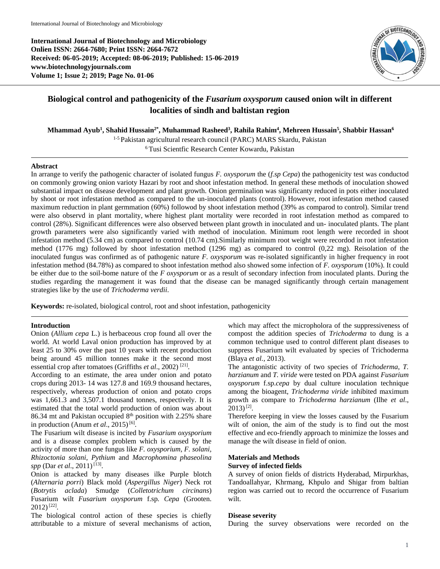**International Journal of Biotechnology and Microbiology Onlien ISSN: 2664-7680; Print ISSN: 2664-7672 Received: 06-05-2019; Accepted: 08-06-2019; Published: 15-06-2019 www.biotechnologyjournals.com Volume 1; Issue 2; 2019; Page No. 01-06**



# **Biological control and pathogenicity of the** *Fusarium oxysporum* **caused onion wilt in different localities of sindh and baltistan region**

**Mhammad Ayub<sup>1</sup> , Shahid Hussain2\*, Muhammad Rasheed<sup>3</sup> , Rahila Rahim<sup>4</sup> , Mehreen Hussain<sup>5</sup> , Shabbir Hassan<sup>6</sup>**

1-5 Pakistan agricultural research council (PARC) MARS Skardu, Pakistan

<sup>6</sup>Tusi Scientfic Research Center Kowardu, Pakistan

### **Abstract**

In arrange to verify the pathogenic character of isolated fungus *F. oxysporum* the (*f.sp Cepa*) the pathogenicity test was conductod on commonly growing onion varioty Hazari by root and shoot infestation method. In general these methods of inoculation showed substantial impact on disease development and plant growth. Onion germinalion was significanty reduced in pots either inoculated by shoot or root infestation method as compared to the un-inoculated plants (control). However, root infestation method caused maximum reduction in plant germmation (60%) followod by shoot infestation method (39% as comparod to control). Similar trend were also observd in plant mortality, where highest plant mortality were recorded in root infestation method as compared to control (28%). Significant differences were also observed between plant growth in inoculated and un- inoculated plants. The plant growth parameters were also significantly varied with method of inoculation. Minimum root length were recorded in shoot infestation method (5.34 cm) as compared to control (10.74 cm).Similarly minimum root weight were recordod in root infestation method (1776 mg) followed by shoot infestation method (1296 mg) as compared to control (0,22 mg). Reisolation of the inoculated fungus was confirmed as of pathogenic nature *F. oxysporum* was re-isolated significantly in higher frequency in root infestation method (84.78%) as compared to shoot infestation method also showed some infection of *F. oxysporum* (10%). It could be either due to the soil-bome nature of the *F oxysporum* or as a result of secondary infection from inoculated plants. During the studies regarding the management it was found that the disease can be managed significantly through certain management strategies like by the use of *Trichoderma verdii*.

**Keywords:** re-isolated, biological control, root and shoot infestation, pathogenicity

# **Introduction**

Onion (*Allium cepa* L.) is herbaceous crop found all over the world. At world Laval onion production has improved by at least 25 to 30% over the past 10 years with recent production being around 45 million tonnes make it the second most essential crop after tomatoes (Griffiths *et al.*, 2002)<sup>[21]</sup>.

According to an estimate, the area under onion and potato crops during 2013- 14 was 127.8 and 169.9 thousand hectares, respectively, whereas production of onion and potato crops was 1,661.3 and 3,507.1 thousand tonnes, respectively. It is estimated that the total world production of onion was about 86.34 mt and Pakistan occupied 8<sup>th</sup> position with 2.25% share in production (Anum *et al.*, 2015)<sup>[6]</sup>.

The Fusarium wilt disease is incited by *Fusarium oxysporium* and is a disease complex problem which is caused by the activity of more than one fungus like *F. oxysporium*, *F. solani, Rhizoctonia solani, Pythium* and *Macrophomina phaseolina*  spp (Dar *et al.*, 2011)<sup>[13]</sup>.

Onion is attacked by many diseases ilke Purple blotch (*Alternaria porri*) Black mold (*Aspergillus Niger*) Neck rot (*Botrytis aclada*) Smudge (*Colletotrichum circinans*) Fusarium wilt *Fusarium oxysporum* f.sp*. Cepa* (Grooten.  $2012)$ <sup>[22]</sup>.

The biological control action of these species is chiefly attributable to a mixture of several mechanisms of action,

which may affect the micropholora of the suppressiveness of compost the addition species of *Trichoderma* to dung is a common technique used to control different plant diseases to suppress Fusarium wilt evaluated by species of Trichoderma (Blaya *et al.,* 2013).

The antagonistic activity of two species of *Trichoderma*, *T. harzianum* and *T. viride* were tested on PDA against *Fusarium oxysporum* f.sp.*cepa* by dual culture inoculation technique among the bioagent, *Trichoderma viride* inhibited maximum growth as compare to *Trichoderma harzianum* (Ilhe *et al*.,  $2013$ <sup>[2]</sup>.

Therefore keeping in view the losses caused by the Fusarium wilt of onion, the aim of the study is to find out the most effective and eco-friendly approach to minimize the losses and manage the wilt disease in field of onion.

# **Materials and Methods Survey of infected fields**

A survey of onion fields of districts Hyderabad, Mirpurkhas, Tandoallahyar, Khrmang, Khpulo and Shigar from baltian region was carried out to record the occurrence of Fusarium wilt.

### **Disease severity**

During the survey observations were recorded on the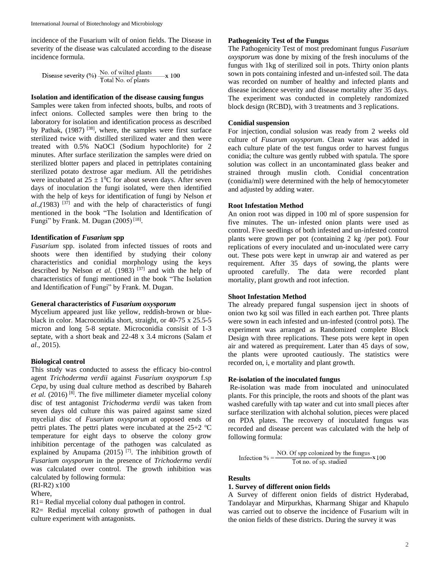incidence of the Fusarium wilt of onion fields. The Disease in severity of the disease was calculated according to the disease incidence formula.

Disease severity (%)  $\frac{\text{No. of wild plants}}{\text{Total No. of plants}}$  x 100

#### **Isolation and identification of the disease causing fungus**

Samples were taken from infected shoots, bulbs, and roots of infect onions. Collected samples were then bring to the laboratory for isolation and identification process as described by Pathak, (1987)<sup>[38]</sup>, where, the samples were first surface sterilized twice with distilled sterilized water and then were treated with 0.5% NaOCl (Sodium hypochlorite) for 2 minutes. After surface sterilization the samples were dried on sterilized blotter papers and placed in pettriplates containing sterilized potato dextrose agar medium. All the petridishes were incubated at  $25 \pm 10$ °C for about seven days. After seven days of inoculation the fungi isolated, were then identified with the help of keys for identification of fungi by Nelson *et*   $al.,$ (1983)<sup>[37]</sup> and with the help of characteristics of fungi mentioned in the book "The Isolation and Identification of Fungi" by Frank. M. Dugan (2005)<sup>[18]</sup>.

# **Identification of** *Fusarium* **spp**

*Fusarium* spp. isolated from infected tissues of roots and shoots were then identified by studying their colony characteristics and conidial morphology using the keys described by Nelson *et al.* (1983) [37] and with the help of characteristics of fungi mentioned in the book "The Isolation and Identification of Fungi" by Frank. M. Dugan.

## **General characteristics of** *Fusarium oxysporum*

Mycelium appeared just like yellow, reddish-brown or blueblack in color. Macroconidia short, straight, or 40-75 x 25.5-5 micron and long 5-8 septate. Microconidia consisit of 1-3 septate, with a short beak and 22-48 x 3.4 microns (Salam *et al*., 2015).

#### **Biological control**

This study was conducted to assess the efficacy bio-control agent *Trichoderma verdii* against *Fusarium oxysporum* f.sp *Cepa,* by using dual culture method as described by Bahareh et al. (2016)<sup>[8]</sup>. The five millimeter diameter mycelial colony disc of test antagonist *Trichoderma verdii* was taken from seven days old culture this was paired against same sized mycelial disc of *Fusarium oxysporum* at opposed ends of pettri plates. The pettri plates were incubated at the  $25+2$  °C temperature for eight days to observe the colony grow inhibition percentage of the pathogen was calculated as explained by Anupama  $(2015)$ <sup>[7]</sup>. The inhibition growth of *Fusarium oxysporum* in the presence of *Trichoderma verdii* was calculated over control. The growth inhibition was calculated by following formula:

(RI-R2) x100

Where,

R1= Redial mycelial colony dual pathogen in control.

R2= Redial mycelial colony growth of pathogen in dual culture experiment with antagonists.

#### **Pathogenicity Test of the Fungus**

The Pathogenicity Test of most predominant fungus *Fusarium oxysporum* was done by mixing of the fresh inoculums of the fungus with 1kg of sterilized soil in pots. Thirty onion plants sown in pots containing infested and un-infested soil. The data was recorded on number of healthy and infected plants and disease incidence severity and disease mortality after 35 days. The experiment was conducted in completely randomized block design (RCBD), with 3 treatments and 3 replications.

#### **Conidial suspension**

For injection, condial solusion was ready from 2 weeks old culture of *Fusarum oxysporum*. Clean water was added in each culture plate of the test fungus order to harvest fungus conidia; the culture was gently rubbed with spatula. The spore solution was collect in an uncontaminated glass beaker and strained through muslin cloth. Conidial concentration (conidia/ml) were determined with the help of hemocytometer and adjusted by adding water.

### **Root Infestation Method**

An onion root was dipped in 100 ml of spore suspension for five minutes. The un- infested onion plants were used as control. Five seedlings of both infested and un-infested control plants were grown per pot (containing 2 kg /per pot). Four replications of every inoculated and un-inoculated were carry out. These pots were kept in unwrap air and watered as per requirement. After 35 days of sowing, the plants were uprooted carefully. The data were recorded plant mortality, plant growth and root infection.

#### **Shoot Infestation Method**

The already prepared fungal suspension iject in shoots of onion two kg soil was filled in each earthen pot. Three plants were sown in each infested and un-infested (control pots). The experiment was arranged as Randomized complete Block Design with three replications. These pots were kept in open air and watered as prequirement. Later than 45 days of sow, the plants were uprooted cautiously. The statistics were recorded on, i, e mortality and plant growth.

#### **Re-isolation of the inoculated fungus**

Re-isolation was made from inoculated and uninoculated plants. For this principle, the roots and shoots of the plant was washed carefully with tap water and cut into small pieces after surface sterilization with alchohal solution, pieces were placed on PDA plates. The recovery of inoculated fungus was recorded and disease percent was calculated with the help of following formula:

Infection % =  $\frac{NO. Of$  spp colonized by the fungus  $x 100$ <br>Tot no. of sp. studied

#### **Results**

#### **1. Survey of different onion fields**

A Survey of different onion fields of district Hyderabad, Tandolayar and Mirpurkhas, Kharmang Shigar and Khapulo was carried out to observe the incidence of Fusarium wilt in the onion fields of these districts. During the survey it was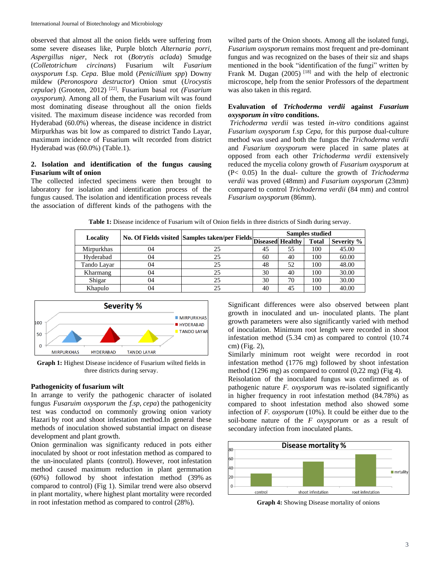observed that almost all the onion fields were suffering from some severe diseases like, Purple blotch *Alternaria porri*, *Aspergillus niger*, Neck rot (*Botrytis aclada*) Smudge (*Colletotrichum circinans*) Fusarium wilt *Fusarium oxysporum* f.sp*. Cepa*. Blue mold (*Penicillium spp*) Downy mildew (*Peronospora destructor*) Onion smut (*Urocystis cepulae*) (Grooten, 2012) [22]. Fusarium basal rot *(Fusarium oxysporum).* Among all of them, the Fusarium wilt was found most dominating disease throughout all the onion fields visited. The maximum disease incidence was recorded from Hyderabad (60.0%) whereas, the disease incidence in district Mirpurkhas was bit low as compared to district Tando Layar, maximum incidence of Fusarium wilt recorded from district Hyderabad was (60.0%) (Table.1).

# **2. Isolation and identification of the fungus causing Fusarium wilt of onion**

The collected infected specimens were then brought to laboratory for isolation and identification process of the fungus caused. The isolation and identification process reveals the association of different kinds of the pathogens with the

wilted parts of the Onion shoots. Among all the isolated fungi, *Fusarium oxysporum* remains most frequent and pre-dominant fungus and was recognized on the bases of their siz and shaps mentioned in the book "identification of the fungi" written by Frank M. Dugan (2005)<sup>[18]</sup> and with the help of electronic microscope, help from the senior Professors of the department was also taken in this regard.

# **Evaluvation of** *Trichoderma verdii* **against** *Fusarium oxysporum in vitro* **conditions.**

*Trichoderma verdii* was tested *in-vitro* conditions against *Fusarium oxysporum* f.sp *Cepa,* for this purpose dual-culture method was used and both the fungus the *Trichoderma verdii* and *Fusarium oxysporum* were placed in same plates at opposed from each other *Trichoderma verdii* extensively reduced the mycelia colony growth of *Fusarium oxysporum* at (P< 0.05) In the dual- culture the growth of *Trichoderma verdii* was proved (48mm) and *Fusarium oxysporum* (23mm) compared to control *Trichoderma verdii* (84 mm) and control *Fusarium oxysporum* (86mm).

| Table 1: Disease incidence of Fusarium wilt of Onion fields in three districts of Sindh during servay. |  |
|--------------------------------------------------------------------------------------------------------|--|
|--------------------------------------------------------------------------------------------------------|--|

| Locality          |    | No. Of Fields visited Samples taken/per Fields Diseased Healthy | <b>Samples studied</b> |    |              |            |
|-------------------|----|-----------------------------------------------------------------|------------------------|----|--------------|------------|
|                   |    |                                                                 |                        |    | <b>Total</b> | Severity % |
| <b>Mirpurkhas</b> | 04 | 25                                                              | 45                     | 55 | 100          | 45.00      |
| Hyderabad         | 04 | 25                                                              | 60                     | 40 | 100          | 60.00      |
| Tando Lavar       | 04 | 25                                                              | 48                     | 52 | 100          | 48.00      |
| Kharmang          | 04 | 25                                                              | 30                     | 40 | 100          | 30.00      |
| Shigar            | 04 | 25                                                              | 30                     | 70 | 100          | 30.00      |
| Khapulo           | 04 | 25                                                              | 40                     | 45 | 100          | 40.00      |



**Graph 1:** Highest Disease incidence of Fusarium wilted fields in three districts during servay.

# **Pathogenicity of fusarium wilt**

In arrange to verify the pathogenic character of isolated fungus *Fusaruim oxysporum* the *f.sp*, *cepa*) the pathogenicity test was conductod on commonly growing onion varioty Hazari by root and shoot infestation method.In general these methods of inoculation showed substantial impact on disease development and plant growth.

Onion germinalion was significanty reduced in pots either inoculated by shoot or root infestation method as compared to the un-inoculated plants (control). However, root infestation method caused maximum reduction in plant germmation (60%) followod by shoot infestation method (39% as comparod to control) (Fig 1). Similar trend were also observd in plant mortality, where highest plant mortality were recorded in root infestation method as compared to control (28%).

Significant differences were also observed between plant growth in inoculated and un- inoculated plants. The plant growth parameters were also significantly varied with method of inoculation. Minimum root length were recorded in shoot infestation method (5.34 cm) as compared to control (10.74 cm) (Fig. 2),

Similarly minimum root weight were recordod in root infestation method (1776 mg) followed by shoot infestation method (1296 mg) as compared to control (0,22 mg) (Fig 4).

Reisolation of the inoculated fungus was confirmed as of pathogenic nature *F. oxysporum* was re-isolated significantly in higher frequency in root infestation method (84.78%) as compared to shoot infestation method also showed some infection of *F. oxysporum* (10%). It could be either due to the soil-bome nature of the *F oxysporum* or as a result of secondary infection from inoculated plants.



**Graph 4:** Showing Disease mortality of onions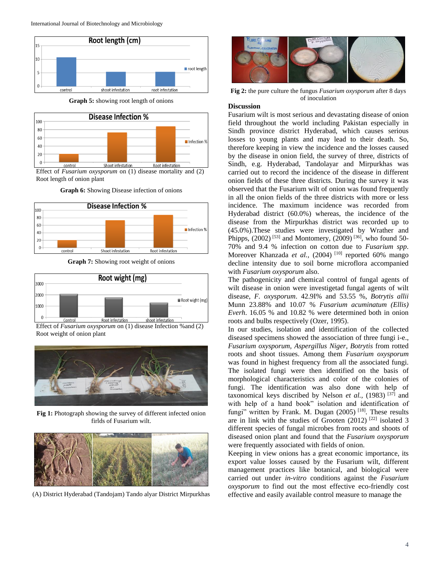

**Graph 5:** showing root length of onions



Effect of *Fusarium oxysporum* on (1) disease mortality and (2) Root length of onion plant **Graph 6:** Showing Disease infection of onions



**Graph 7:** Showing root weight of onions



Effect of *Fusarium oxysporum* on (1) disease Infection %and (2) Root weight of onion plant



**Fig 1:** Photograph showing the survey of different infected onion firlds of Fusarium wilt.



(A) District Hyderabad (Tandojam) Tando alyar District Mirpurkhas



**Fig 2:** the pure culture the fungus *Fusarium oxysporum* after 8 days of inoculation

#### **Discussion**

Fusarium wilt is most serious and devastating disease of onion field throughout the world including Pakistan especially in Sindh province district Hyderabad, which causes serious losses to young plants and may lead to their death. So, therefore keeping in view the incidence and the losses caused by the disease in onion field, the survey of three, districts of Sindh, e.g. Hyderabad, Tandolayar and Mirpurkhas was carried out to record the incidence of the disease in different onion fields of these three districts. During the survey it was observed that the Fusarium wilt of onion was found frequently in all the onion fields of the three districts with more or less incidence. The maximum incidence was recorded from Hyderabad district (60.0%) whereas, the incidence of the disease from the Mirpurkhas district was recorded up to (45.0%).These studies were investigated by Wrather and Phipps,  $(2002)$ <sup>[53]</sup> and Montomery,  $(2009)$ <sup>[36]</sup>, who found 50-70% and 9.4 % infection on cotton due to *Fusarium spp*. Moreover Khanzada et al., (2004) <sup>[10]</sup> reported 60% mango decline intensity due to soil borne microflora accompanied with *Fusarium oxysporum* also.

The pathogenicity and chemical control of fungal agents of wilt disease in onion were investigetad fungal agents of wilt disease, *F. oxysporum*. 42.9I% and 53.55 %, *Botrytis allii* Munn 23.88% and 10.07 % *Fusarium acuminatum (Ellis) Everh*. 16.05 % and 10.82 % were determined both in onion roots and bulbs respectively (Ozer, 1995).

In our studies, isolation and identification of the collected diseased specimens showed the association of three fungi i-e., *Fusarium oxysporum, Aspergillus Niger*, *Botrytis* from rotted roots and shoot tissues. Among them *Fusarium oxysporum*  was found in highest frequency from all the associated fungi. The isolated fungi were then identified on the basis of morphological characteristics and color of the colonies of fungi. The identification was also done with help of taxonomical keys discribed by Nelson *et al.,* (1983) [37] and with help of a hand book" isolation and identification of fungi" written by Frank. M. Dugan  $(2005)$ <sup>[18]</sup>. These results are in link with the studies of Grooten  $(2012)$   $[22]$  isolated 3 different species of fungal microbes from roots and shoots of diseased onion plant and found that the *Fusarium oxysporum* were frequently associated with fields of onion.

Keeping in view onions has a great economic importance, its export value losses caused by the Fusarium wilt, different management practices like botanical, and biological were carried out under *in-vitro* conditions against the *Fusarium oxysporum* to find out the most effective eco-friendly cost effective and easily available control measure to manage the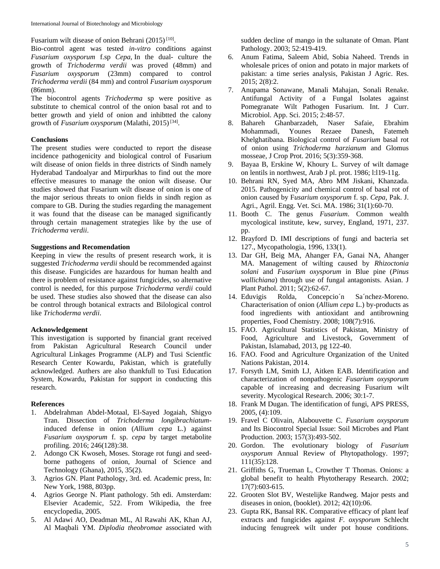Fusarium wilt disease of onion Behrani (2015)<sup>[10]</sup>.

Bio-control agent was tested *in-vitro* conditions against *Fusarium oxysporum* f.sp *Cepa,* In the dual- culture the growth of *Trichoderma verdii* was proved (48mm) and *Fusarium oxysporum* (23mm) compared to control *Trichoderma verdii* (84 mm) and control *Fusarium oxysporum*  (86mm).

The biocontrol agents *Trichoderma* sp were positive as substitute to chemical control of the onion basal rot and to better growth and yield of onion and inhibtted the calony growth of *Fusarium oxysporum* (Malathi, 2015)<sup>[34]</sup>.

### **Conclusions**

The present studies were conducted to report the disease incidence pathogenicity and biological control of Fusarium wilt disease of onion fields in three districts of Sindh namely Hyderabad Tandoalyar and Mirpurkhas to find out the more effective measures to manage the onion wilt disease. Our studies showed that Fusarium wilt disease of onion is one of the major serious threats to onion fields in sindh region as compare to GB. During the studies regarding the management it was found that the disease can be managed significantly through certain management strategies like by the use of *Trichoderma verdii*.

# **Suggestions and Recomendation**

Keeping in view the results of present research work, it is suggested *Trichoderma verdii* should be recommended against this disease. Fungicides are hazardous for human health and there is problem of resistance against fungicides, so alternative control is needed, for this purpose *Trichoderma verdii* could be used. These studies also showed that the disease can also be control through botanical extracts and Bilological control like *Trichoderma verdii*.

# **Acknowledgement**

This investigation is supported by financial grant received from Pakistan Agricultural Research Council under Agricultural Linkages Programme (ALP) and Tusi Scientfic Research Center Kowardu, Pakistan, which is gratefully acknowledged. Authers are also thankfull to Tusi Education System, Kowardu, Pakistan for support in conducting this research.

### **References**

- 1. Abdelrahman Abdel-Motaal, El-Sayed Jogaiah, Shigyo Tran. Dissection of *Trichoderma longibrachiatum*induced defense in onion (*Allium cepa* L.) against *Fusarium oxysporum* f. sp. *cepa* by target metabolite profiling. 2016; 246(128):38.
- 2. Adongo CK Kwoseh, Moses. Storage rot fungi and seedborne pathogens of onion, Journal of Science and Technology (Ghana), 2015, 35(2).
- 3. Agrios GN. Plant Pathology, 3rd. ed. Academic press, In: New York, 1988, 803pp.
- 4. Agrios George N. Plant pathology. 5th edi. Amsterdam: Elsevier Academic, 522. From Wikipedia, the free encyclopedia, 2005.
- 5. Al Adawi AO, Deadman ML, Al Rawahi AK, Khan AJ, Al Maqbali YM. *Diplodia theobromae* associated with

sudden decline of mango in the sultanate of Oman. Plant Pathology. 2003; 52:419-419.

- 6. Anum Fatima, Saleem Abid, Sobia Naheed. Trends in wholesale prices of onion and potato in major markets of pakistan: a time series analysis, Pakistan J Agric. Res. 2015; 2(8):2.
- 7. Anupama Sonawane, Manali Mahajan, Sonali Renake. Antifungal Activity of a Fungal Isolates against Pomegranate Wilt Pathogen Fusarium. Int. J Curr. Microbiol. App. Sci. 2015; 2:48-57.
- 8. Bahareh Ghanbarzadeh, Naser Safaie, Ebrahim Mohammadi, Younes Rezaee Danesh, Fatemeh Khelghatibana. Biological control of *Fusarium* basal rot of onion using *Trichoderma harzianum* and Glomus mosseae, J Crop Prot. 2016; 5(3):359-368.
- 9. Bayaa B, Erskine W, Khoury L. Survey of wilt damage on lentils in northwest, Arab J pl. prot. 1986; l:l19-11g.
- 10. Behrani RN, Syed MA, Abro MM Jiskani, Khanzada. 2015. Pathogenicity and chemical control of basal rot of onion caused by F*usarium oxysporum* f. sp. *Cepa,* Pak. J. Agri., Agril. Engg. Vet. Sci. MA. 1986; 31(1):60-70.
- 11. Booth C. The genus *Fusarium*. Common wealth mycological institute, kew, survey, England, 1971, 237. pp.
- 12. Brayford D. IMI descriptions of fungi and bacteria set 127., Mycopathologia, 1996, 133(1).
- 13. Dar GH, Beig MA, Ahanger FA, Ganai NA, Ahanger MA. Management of wilting caused by *Rhizoctonia solani* and *Fusarium oxysporum* in Blue pine (*Pinus wallichiana*) through use of fungal antagonists. Asian. J Plant Pathol. 2011; 5(2):62-67.
- 14. Eduvigis Rolda, Concepcio´n Sa´nchez-Moreno. Characterisation of onion (*Allium cepa* L.) by-products as food ingredients with antioxidant and antibrowning properties, Food Chemistry. 2008; 108(7):916.
- 15. FAO. Agricultural Statistics of Pakistan, Ministry of Food, Agriculture and Livestock, Government of Pakistan, Islamabad, 2013, pg 122-40.
- 16. FAO. Food and Agriculture Organization of the United Nations Pakistan, 2014.
- 17. Forsyth LM, Smith LJ, Aitken EAB. Identification and characterization of nonpathogenic *Fusarium oxysporum* capable of increasing and decreasing Fusarium wilt severity. Mycological Research. 2006; 30:1-7.
- 18. Frank M Dugan. The identification of fungi, APS PRESS, 2005, (4):109.
- 19. Fravel C Olivain, Alabouvette C. *Fusarium oxysporum* and Its Biocontrol Special Issue: Soil Microbes and Plant Production. 2003; 157(3):493-502.
- 20. Gordon. The evolutionary biology of *Fusarium oxysporum* Annual Review of Phytopathology. 1997; 111(35):128.
- 21. Griffiths G, Trueman L, Crowther T Thomas. Onions: a global benefit to health Phytotherapy Research. 2002; 17(7):603-615.
- 22. Grooten Slot BV, Westelijke Randweg. Major pests and diseases in onion, (booklet). 2012; 42(10):06.
- 23. Gupta RK, Bansal RK. Comparative efficacy of plant leaf extracts and fungicides against *F. oxysporum* Schlecht inducing fenugreek wilt under pot house conditions.